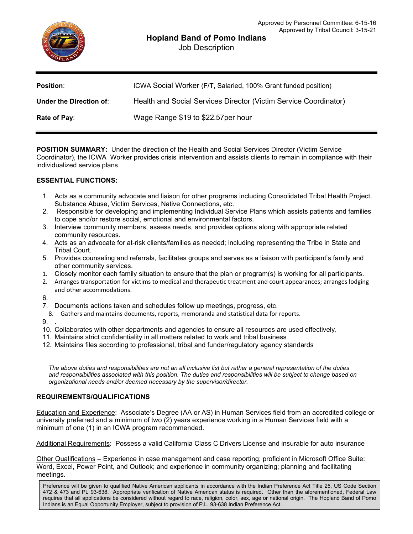## **Hopland Band of Pomo Indians**

Job Description

| <b>Position:</b>        | ICWA Social Worker (F/T, Salaried, 100% Grant funded position)   |
|-------------------------|------------------------------------------------------------------|
| Under the Direction of: | Health and Social Services Director (Victim Service Coordinator) |
| Rate of Pay:            | Wage Range \$19 to \$22.57 per hour                              |

**POSITION SUMMARY:** Under the direction of the Health and Social Services Director (Victim Service Coordinator), the ICWA Worker provides crisis intervention and assists clients to remain in compliance with their individualized service plans.

## **ESSENTIAL FUNCTIONS:**

- 1. Acts as a community advocate and liaison for other programs including Consolidated Tribal Health Project, Substance Abuse, Victim Services, Native Connections, etc.
- 2. Responsible for developing and implementing Individual Service Plans which assists patients and families to cope and/or restore social, emotional and environmental factors.
- 3. Interview community members, assess needs, and provides options along with appropriate related community resources.
- 4. Acts as an advocate for at-risk clients/families as needed; including representing the Tribe in State and Tribal Court.
- 5. Provides counseling and referrals, facilitates groups and serves as a liaison with participant's family and other community services.
- 1. Closely monitor each family situation to ensure that the plan or program(s) is working for all participants.
- 2. Arranges transportation for victims to medical and therapeutic treatment and court appearances; arranges lodging and other accommodations.
- 6.
- 7. Documents actions taken and schedules follow up meetings, progress, etc.
- 8. Gathers and maintains documents, reports, memoranda and statistical data for reports.
- $9.$
- 10. Collaborates with other departments and agencies to ensure all resources are used effectively.
- 11. Maintains strict confidentiality in all matters related to work and tribal business
- 12. Maintains files according to professional, tribal and funder/regulatory agency standards

*The above duties and responsibilities are not an all inclusive list but rather a general representation of the duties and responsibilities associated with this position. The duties and responsibilities will be subject to change based on organizational needs and/or deemed necessary by the supervisor/director.*

## **REQUIREMENTS/QUALIFICATIONS**

Education and Experience: Associate's Degree (AA or AS) in Human Services field from an accredited college or university preferred and a minimum of two (2) years experience working in a Human Services field with a minimum of one (1) in an ICWA program recommended.

Additional Requirements: Possess a valid California Class C Drivers License and insurable for auto insurance

Other Qualifications – Experience in case management and case reporting; proficient in Microsoft Office Suite: Word, Excel, Power Point, and Outlook; and experience in community organizing; planning and facilitating meetings.

Preference will be given to qualified Native American applicants in accordance with the Indian Preference Act Title 25, US Code Section 472 & 473 and PL 93-638. Appropriate verification of Native American status is required. Other than the aforementioned, Federal Law requires that all applications be considered without regard to race, religion, color, sex, age or national origin. The Hopland Band of Pomo Indians is an Equal Opportunity Employer, subject to provision of P.L. 93-638 Indian Preference Act.